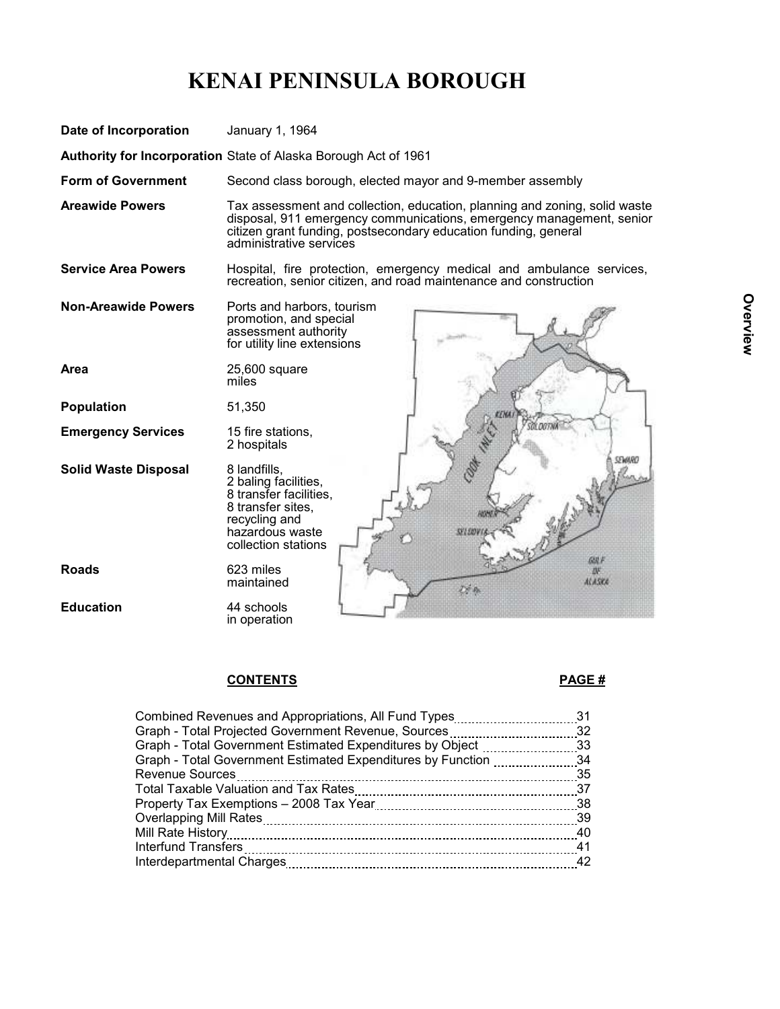## KENAI PENINSULA BOROUGH



## CONTENTS PAGE #

| Combined Revenues and Appropriations, All Fund Types31         |      |
|----------------------------------------------------------------|------|
| Graph - Total Projected Government Revenue, Sources32          |      |
| Graph - Total Government Estimated Expenditures by Object 33   |      |
| Graph - Total Government Estimated Expenditures by Function 34 |      |
| <b>Revenue Sources</b>                                         |      |
|                                                                |      |
|                                                                |      |
|                                                                |      |
|                                                                | - 40 |
|                                                                | -41  |
|                                                                | 42   |
|                                                                |      |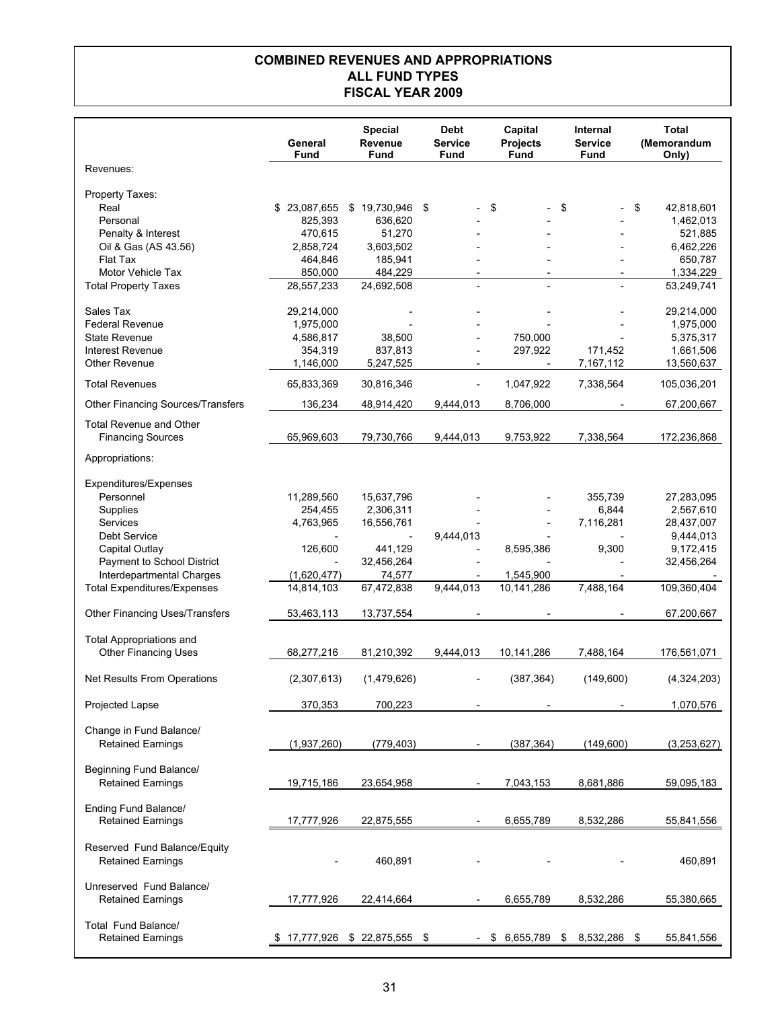## COMBINED REVENUES AND APPROPRIATIONS ALL FUND TYPES FISCAL YEAR 2009

|                                                                | General<br>Fund         | <b>Special</b><br>Revenue<br>Fund | <b>Debt</b><br><b>Service</b><br>Fund | Capital<br><b>Projects</b><br><b>Fund</b> | Internal<br><b>Service</b><br>Fund | <b>Total</b><br>(Memorandum<br>Only) |
|----------------------------------------------------------------|-------------------------|-----------------------------------|---------------------------------------|-------------------------------------------|------------------------------------|--------------------------------------|
| Revenues:                                                      |                         |                                   |                                       |                                           |                                    |                                      |
| Property Taxes:<br>Real                                        | \$23,087,655            | $$19,730,946$ \$                  |                                       | \$                                        | \$                                 | \$<br>42,818,601                     |
| Personal<br>Penalty & Interest                                 | 825,393<br>470,615      | 636,620<br>51,270                 |                                       |                                           |                                    | 1,462,013<br>521,885                 |
| Oil & Gas (AS 43.56)<br><b>Flat Tax</b>                        | 2,858,724<br>464,846    | 3,603,502<br>185,941              |                                       |                                           |                                    | 6,462,226<br>650,787                 |
| Motor Vehicle Tax<br><b>Total Property Taxes</b>               | 850,000<br>28,557,233   | 484,229<br>24,692,508             |                                       | $\overline{a}$<br>$\overline{a}$          | $\overline{\phantom{a}}$           | 1,334,229<br>53,249,741              |
| Sales Tax<br><b>Federal Revenue</b>                            | 29,214,000<br>1,975,000 |                                   |                                       |                                           |                                    | 29,214,000<br>1,975,000              |
| <b>State Revenue</b>                                           | 4,586,817               | 38,500                            |                                       | 750,000                                   |                                    | 5,375,317                            |
| Interest Revenue                                               | 354,319                 | 837,813                           | $\overline{\phantom{a}}$              | 297,922                                   | 171,452                            | 1,661,506                            |
| <b>Other Revenue</b>                                           | 1,146,000               | 5,247,525                         | $\overline{\phantom{a}}$              | $\overline{\phantom{a}}$                  | 7,167,112                          | 13,560,637                           |
| <b>Total Revenues</b>                                          | 65,833,369              | 30,816,346                        | $\qquad \qquad \blacksquare$          | 1,047,922                                 | 7,338,564                          | 105,036,201                          |
| <b>Other Financing Sources/Transfers</b>                       | 136,234                 | 48,914,420                        | 9,444,013                             | 8,706,000                                 |                                    | 67,200,667                           |
| <b>Total Revenue and Other</b><br><b>Financing Sources</b>     | 65,969,603              | 79,730,766                        | 9,444,013                             | 9,753,922                                 | 7,338,564                          | 172,236,868                          |
| Appropriations:                                                |                         |                                   |                                       |                                           |                                    |                                      |
| Expenditures/Expenses<br>Personnel                             | 11,289,560              | 15,637,796                        |                                       |                                           | 355,739                            | 27,283,095                           |
| Supplies                                                       | 254,455                 | 2,306,311                         |                                       |                                           | 6,844                              | 2,567,610                            |
| Services                                                       | 4,763,965               | 16,556,761                        |                                       |                                           | 7,116,281                          | 28,437,007                           |
| <b>Debt Service</b>                                            |                         |                                   | 9,444,013                             |                                           |                                    | 9,444,013                            |
| Capital Outlay                                                 | 126,600                 | 441,129                           |                                       | 8,595,386                                 | 9,300                              | 9,172,415                            |
| Payment to School District                                     |                         | 32,456,264                        |                                       |                                           |                                    | 32,456,264                           |
| Interdepartmental Charges                                      | (1,620,477)             | 74,577                            |                                       | 1,545,900                                 |                                    |                                      |
| <b>Total Expenditures/Expenses</b>                             | 14,814,103              | 67,472,838                        | 9,444,013                             | 10,141,286                                | 7,488,164                          | 109,360,404                          |
| Other Financing Uses/Transfers                                 | 53,463,113              | 13,737,554                        |                                       |                                           |                                    | 67,200,667                           |
| <b>Total Appropriations and</b><br><b>Other Financing Uses</b> | 68,277,216              | 81,210,392                        | 9,444,013                             | 10,141,286                                | 7,488,164                          | 176,561,071                          |
| Net Results From Operations                                    | (2,307,613)             | (1,479,626)                       |                                       | (387, 364)                                | (149, 600)                         | (4,324,203)                          |
| Projected Lapse                                                | 370,353                 | 700,223                           |                                       |                                           |                                    | 1,070,576                            |
| Change in Fund Balance/<br><b>Retained Earnings</b>            | (1,937,260)             | (779, 403)                        |                                       | (387, 364)                                | (149,600)                          | (3,253,627)                          |
| Beginning Fund Balance/<br><b>Retained Earnings</b>            | 19,715,186              | 23,654,958                        | $\overline{\phantom{a}}$              | 7,043,153                                 | 8,681,886                          | 59,095,183                           |
| Ending Fund Balance/<br><b>Retained Earnings</b>               | 17,777,926              | 22,875,555                        |                                       | 6,655,789                                 | 8,532,286                          | 55,841,556                           |
| Reserved Fund Balance/Equity<br><b>Retained Earnings</b>       |                         | 460,891                           |                                       |                                           |                                    | 460,891                              |
| Unreserved Fund Balance/<br><b>Retained Earnings</b>           | 17,777,926              | 22,414,664                        |                                       | 6,655,789                                 | 8,532,286                          | 55,380,665                           |
| Total Fund Balance/<br><b>Retained Earnings</b>                | 17,777,926<br>\$F       | \$ 22,875,555                     | \$                                    | 6,655,789<br>\$                           | 8,532,286<br>\$                    | 55,841,556<br>\$                     |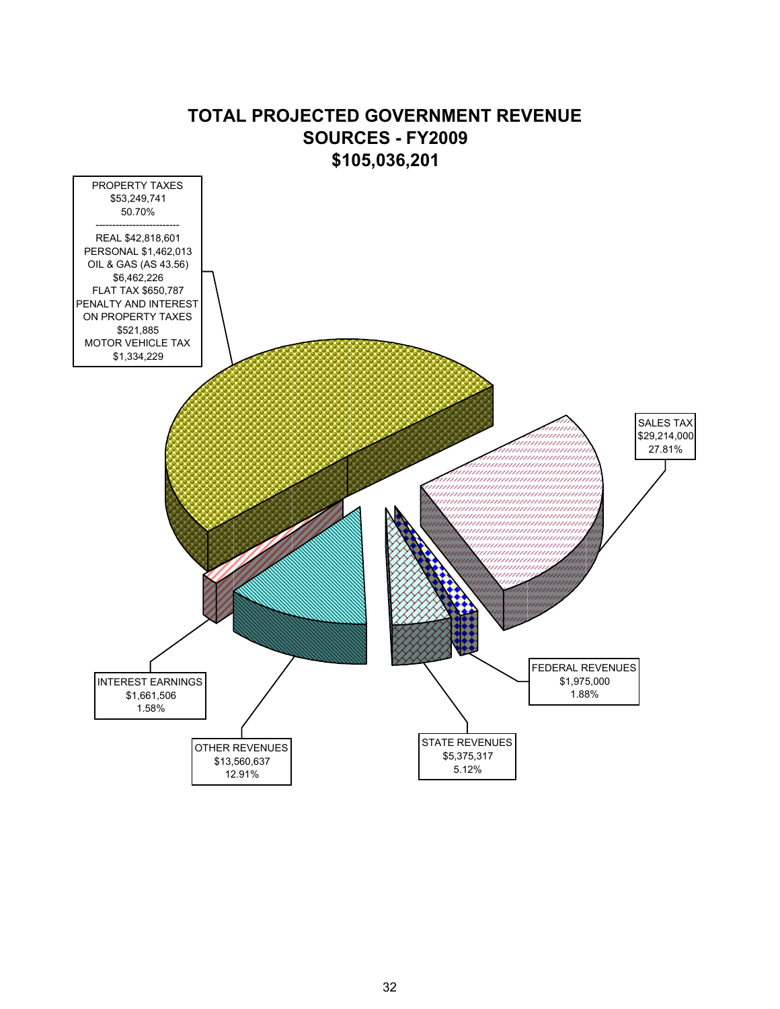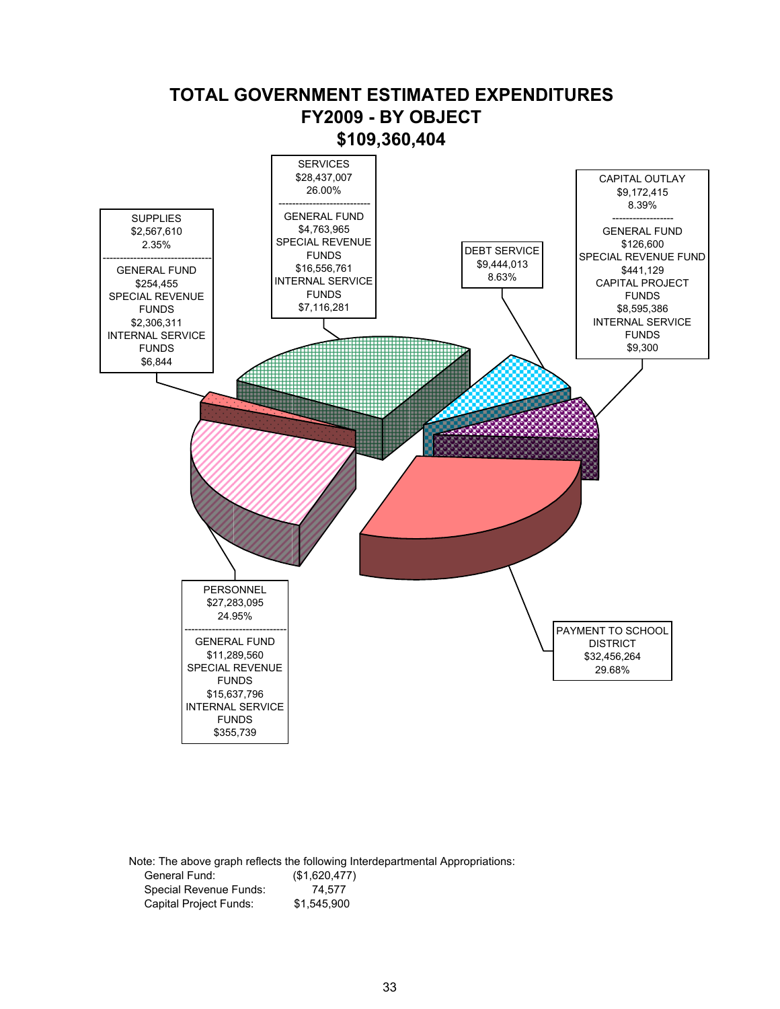

Note: The above graph reflects the following Interdepartmental Appropriations: General Fund: (\$1,620,477)<br>Special Revenue Funds: 74,577 Special Revenue Funds: Capital Project Funds: \$1,545,900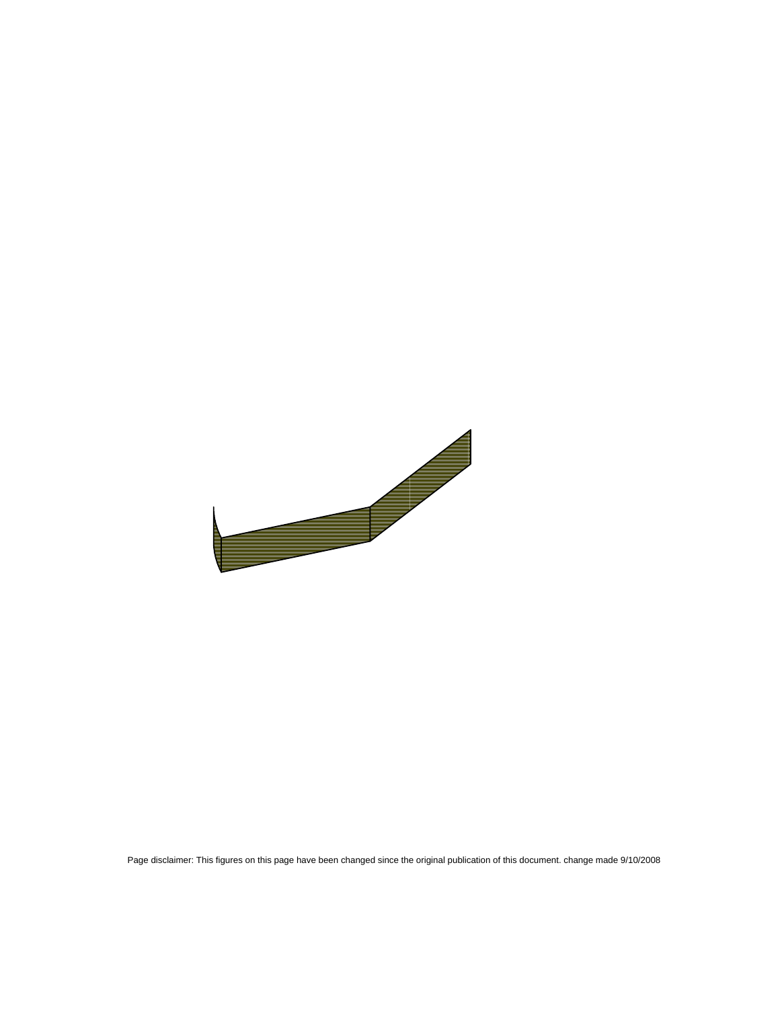Page disclaimer: This figures on this page have been changed since the original publication of this document. change made 9/10/2008